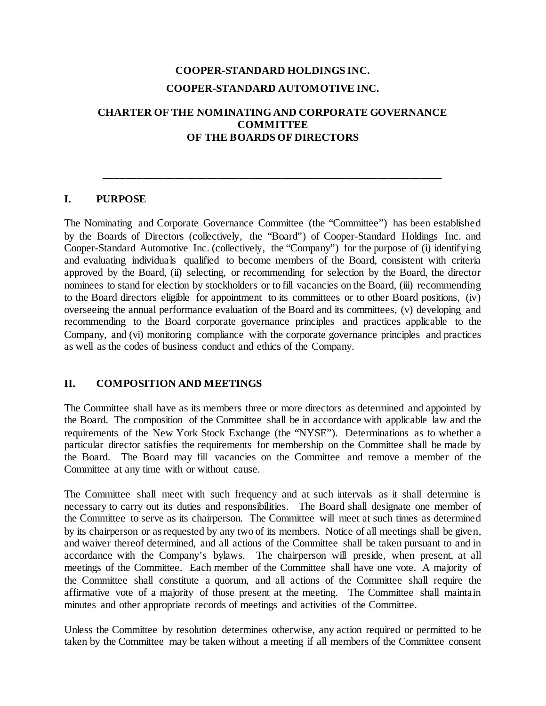# **COOPER-STANDARD HOLDINGS INC. COOPER-STANDARD AUTOMOTIVE INC.**

## **CHARTER OF THE NOMINATING AND CORPORATE GOVERNANCE COMMITTEE OF THE BOARDS OF DIRECTORS**

**\_\_\_\_\_\_\_\_\_\_\_\_\_\_\_\_\_\_\_\_\_\_\_\_\_\_\_\_\_\_\_\_\_\_\_\_\_\_\_\_\_\_\_\_\_\_\_\_\_\_\_\_\_\_\_\_\_\_\_\_\_\_\_**

#### **I. PURPOSE**

The Nominating and Corporate Governance Committee (the "Committee") has been established by the Boards of Directors (collectively, the "Board") of Cooper-Standard Holdings Inc. and Cooper-Standard Automotive Inc. (collectively, the "Company") for the purpose of (i) identifying and evaluating individuals qualified to become members of the Board, consistent with criteria approved by the Board, (ii) selecting, or recommending for selection by the Board, the director nominees to stand for election by stockholders or to fill vacancies on the Board, (iii) recommending to the Board directors eligible for appointment to its committees or to other Board positions, (iv) overseeing the annual performance evaluation of the Board and its committees, (v) developing and recommending to the Board corporate governance principles and practices applicable to the Company, and (vi) monitoring compliance with the corporate governance principles and practices as well as the codes of business conduct and ethics of the Company.

#### **II. COMPOSITION AND MEETINGS**

The Committee shall have as its members three or more directors as determined and appointed by the Board. The composition of the Committee shall be in accordance with applicable law and the requirements of the New York Stock Exchange (the "NYSE"). Determinations as to whether a particular director satisfies the requirements for membership on the Committee shall be made by the Board. The Board may fill vacancies on the Committee and remove a member of the Committee at any time with or without cause.

The Committee shall meet with such frequency and at such intervals as it shall determine is necessary to carry out its duties and responsibilities. The Board shall designate one member of the Committee to serve as its chairperson. The Committee will meet at such times as determined by its chairperson or as requested by any two of its members. Notice of all meetings shall be given, and waiver thereof determined, and all actions of the Committee shall be taken pursuant to and in accordance with the Company's bylaws. The chairperson will preside, when present, at all meetings of the Committee. Each member of the Committee shall have one vote. A majority of the Committee shall constitute a quorum, and all actions of the Committee shall require the affirmative vote of a majority of those present at the meeting. The Committee shall maintain minutes and other appropriate records of meetings and activities of the Committee.

Unless the Committee by resolution determines otherwise, any action required or permitted to be taken by the Committee may be taken without a meeting if all members of the Committee consent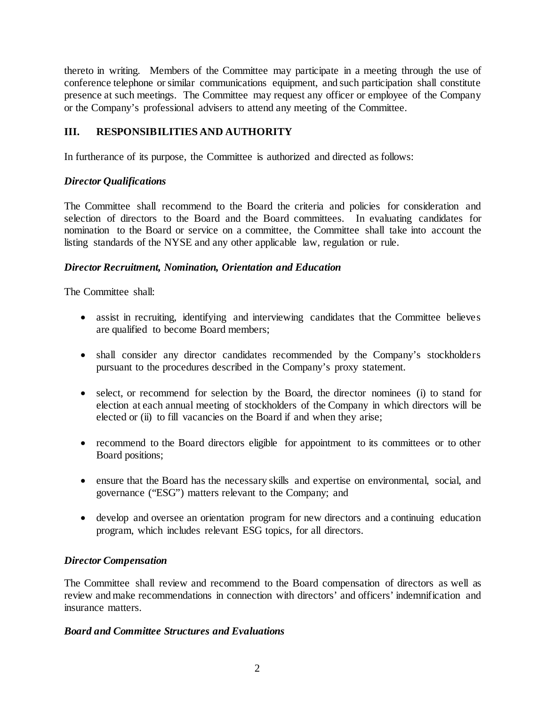thereto in writing. Members of the Committee may participate in a meeting through the use of conference telephone or similar communications equipment, and such participation shall constitute presence at such meetings. The Committee may request any officer or employee of the Company or the Company's professional advisers to attend any meeting of the Committee.

## **III. RESPONSIBILITIES AND AUTHORITY**

In furtherance of its purpose, the Committee is authorized and directed as follows:

## *Director Qualifications*

The Committee shall recommend to the Board the criteria and policies for consideration and selection of directors to the Board and the Board committees. In evaluating candidates for nomination to the Board or service on a committee, the Committee shall take into account the listing standards of the NYSE and any other applicable law, regulation or rule.

## *Director Recruitment, Nomination, Orientation and Education*

The Committee shall:

- assist in recruiting, identifying and interviewing candidates that the Committee believes are qualified to become Board members;
- shall consider any director candidates recommended by the Company's stockholders pursuant to the procedures described in the Company's proxy statement.
- select, or recommend for selection by the Board, the director nominees (i) to stand for election at each annual meeting of stockholders of the Company in which directors will be elected or (ii) to fill vacancies on the Board if and when they arise;
- recommend to the Board directors eligible for appointment to its committees or to other Board positions;
- ensure that the Board has the necessary skills and expertise on environmental, social, and governance ("ESG") matters relevant to the Company; and
- develop and oversee an orientation program for new directors and a continuing education program, which includes relevant ESG topics, for all directors.

## *Director Compensation*

The Committee shall review and recommend to the Board compensation of directors as well as review and make recommendations in connection with directors' and officers' indemnification and insurance matters.

#### *Board and Committee Structures and Evaluations*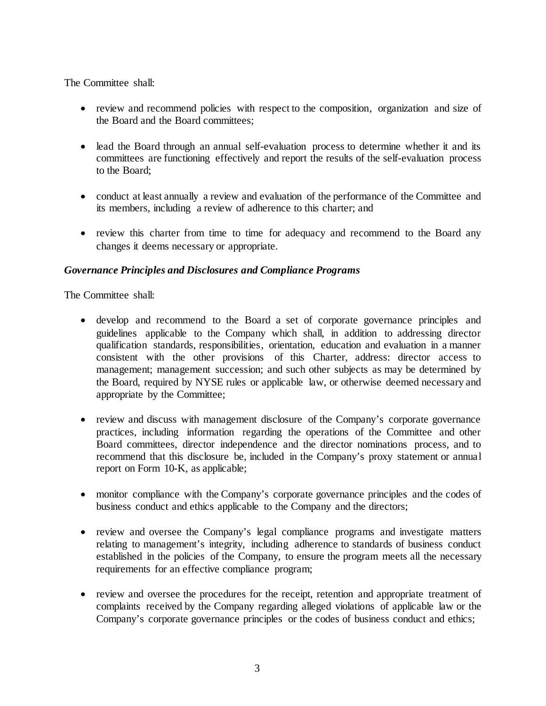#### The Committee shall:

- review and recommend policies with respect to the composition, organization and size of the Board and the Board committees;
- lead the Board through an annual self-evaluation process to determine whether it and its committees are functioning effectively and report the results of the self-evaluation process to the Board;
- conduct at least annually a review and evaluation of the performance of the Committee and its members, including a review of adherence to this charter; and
- review this charter from time to time for adequacy and recommend to the Board any changes it deems necessary or appropriate.

## *Governance Principles and Disclosures and Compliance Programs*

The Committee shall:

- develop and recommend to the Board a set of corporate governance principles and guidelines applicable to the Company which shall, in addition to addressing director qualification standards, responsibilities, orientation, education and evaluation in a manner consistent with the other provisions of this Charter, address: director access to management; management succession; and such other subjects as may be determined by the Board, required by NYSE rules or applicable law, or otherwise deemed necessary and appropriate by the Committee;
- review and discuss with management disclosure of the Company's corporate governance practices, including information regarding the operations of the Committee and other Board committees, director independence and the director nominations process, and to recommend that this disclosure be, included in the Company's proxy statement or annual report on Form 10-K, as applicable;
- monitor compliance with the Company's corporate governance principles and the codes of business conduct and ethics applicable to the Company and the directors;
- review and oversee the Company's legal compliance programs and investigate matters relating to management's integrity, including adherence to standards of business conduct established in the policies of the Company, to ensure the program meets all the necessary requirements for an effective compliance program;
- review and oversee the procedures for the receipt, retention and appropriate treatment of complaints received by the Company regarding alleged violations of applicable law or the Company's corporate governance principles or the codes of business conduct and ethics;